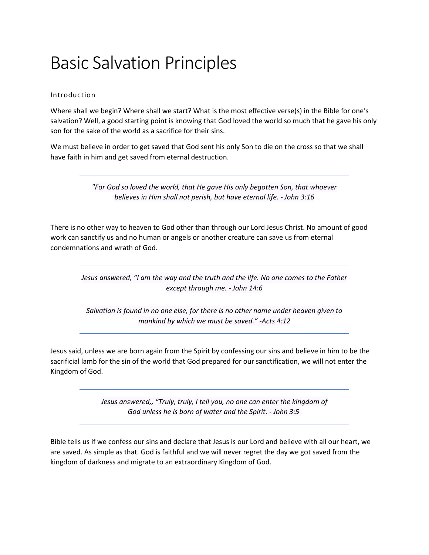## Basic Salvation Principles

## Introduction

Where shall we begin? Where shall we start? What is the most effective verse(s) in the Bible for one's salvation? Well, a good starting point is knowing that God loved the world so much that he gave his only son for the sake of the world as a sacrifice for their sins.

We must believe in order to get saved that God sent his only Son to die on the cross so that we shall have faith in him and get saved from eternal destruction.

> *"For God so loved the world, that He gave His only begotten Son, that whoever believes in Him shall not perish, but have eternal life. - John 3:16*

There is no other way to heaven to God other than through our Lord Jesus Christ. No amount of good work can sanctify us and no human or angels or another creature can save us from eternal condemnations and wrath of God.

*Jesus answered, "I am the way and the truth and the life. No one comes to the Father except through me. - John 14:6*

*Salvation is found in no one else, for there is no other name under heaven given to mankind by which we must be saved." -Acts 4:12*

Jesus said, unless we are born again from the Spirit by confessing our sins and believe in him to be the sacrificial lamb for the sin of the world that God prepared for our sanctification, we will not enter the Kingdom of God.

> *[Jesus](https://biblehub.com/greek/2424.htm) [answered,,](https://biblehub.com/greek/611.htm) ["Truly,](https://biblehub.com/greek/281.htm) [truly,](https://biblehub.com/greek/281.htm) [I tell](https://biblehub.com/greek/3004.htm) [you,](https://biblehub.com/greek/4771.htm) [no](https://biblehub.com/greek/3756.htm) [one](https://biblehub.com/greek/5100.htm) [can](https://biblehub.com/greek/1410.htm) [enter](https://biblehub.com/greek/1525.htm) [the](https://biblehub.com/greek/3588.htm) [kingdom](https://biblehub.com/greek/932.htm) [of](https://biblehub.com/greek/2316.htm)  [God](https://biblehub.com/greek/2316.htm) [unless](https://biblehub.com/greek/1437.htm) [he is born](https://biblehub.com/greek/1080.htm) [of](https://biblehub.com/greek/1537.htm) [water](https://biblehub.com/greek/5204.htm) [and](https://biblehub.com/greek/2532.htm) [the Spirit.](https://biblehub.com/greek/4151.htm) - John 3:5*

Bible tells us if we confess our sins and declare that Jesus is our Lord and believe with all our heart, we are saved. As simple as that. God is faithful and we will never regret the day we got saved from the kingdom of darkness and migrate to an extraordinary Kingdom of God.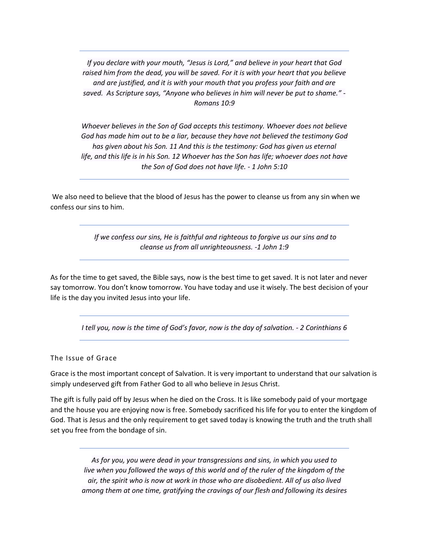*If you declare with your mouth, "Jesus is Lord," and believe in your heart that God raised him from the dead, you will be saved. For it is with your heart that you believe and are justified, and it is with your mouth that you profess your faith and are saved. As Scripture says, "Anyone who believes in him will never be put to shame." - Romans 10:9*

*Whoever believes in the Son of God accepts this testimony. Whoever does not believe God has made him out to be a liar, because they have not believed the testimony God has given about his Son. 11 And this is the testimony: God has given us eternal life, and this life is in his Son. 12 Whoever has the Son has life; whoever does not have the Son of God does not have life. - 1 John 5:10*

We also need to believe that the blood of Jesus has the power to cleanse us from any sin when we confess our sins to him.

> *If we confess our sins, He is faithful and righteous to forgive us our sins and to cleanse us from all unrighteousness. -1 John 1:9*

As for the time to get saved, the Bible says, now is the best time to get saved. It is not later and never say tomorrow. You don't know tomorrow. You have today and use it wisely. The best decision of your life is the day you invited Jesus into your life.

*I tell you, now is the time of God's favor, now is the day of salvation. - 2 Corinthians 6*

The Issue of Grace

Grace is the most important concept of Salvation. It is very important to understand that our salvation is simply undeserved gift from Father God to all who believe in Jesus Christ.

The gift is fully paid off by Jesus when he died on the Cross. It is like somebody paid of your mortgage and the house you are enjoying now is free. Somebody sacrificed his life for you to enter the kingdom of God. That is Jesus and the only requirement to get saved today is knowing the truth and the truth shall set you free from the bondage of sin.

*As for you, you were dead in your transgressions and sins, in which you used to live when you followed the ways of this world and of the ruler of the kingdom of the air, the spirit who is now at work in those who are disobedient. All of us also lived among them at one time, gratifying the cravings of our flesh and following its desires*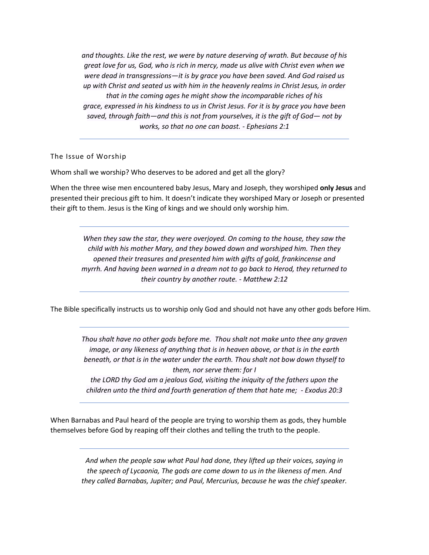*and thoughts. Like the rest, we were by nature deserving of wrath. But because of his great love for us, God, who is rich in mercy, made us alive with Christ even when we were dead in transgressions—it is by grace you have been saved. And God raised us up with Christ and seated us with him in the heavenly realms in Christ Jesus, in order that in the coming ages he might show the incomparable riches of his grace, expressed in his kindness to us in Christ Jesus. For it is by grace you have been saved, through faith—and this is not from yourselves, it is the gift of God— not by works, so that no one can boast. - Ephesians 2:1*

The Issue of Worship

Whom shall we worship? Who deserves to be adored and get all the glory?

When the three wise men encountered baby Jesus, Mary and Joseph, they worshiped **only Jesus** and presented their precious gift to him. It doesn't indicate they worshiped Mary or Joseph or presented their gift to them. Jesus is the King of kings and we should only worship him.

*When they saw the star, they were overjoyed. On coming to the house, they saw the child with his mother Mary, and they bowed down and worshiped him. Then they opened their treasures and presented him with gifts of gold, frankincense and myrrh. And having been warned in a dream not to go back to Herod, they returned to their country by another route. - Matthew 2:12*

The Bible specifically instructs us to worship only God and should not have any other gods before Him.

*Thou shalt have no other gods before me. Thou shalt not make unto thee any graven image, or any likeness of anything that is in heaven above, or that is in the earth beneath, or that is in the water under the earth. Thou shalt not bow down thyself to them, nor serve them: for I the LORD thy God am a jealous God, visiting the iniquity of the fathers upon the children unto the third and fourth generation of them that hate me; - Exodus 20:3*

When Barnabas and Paul heard of the people are trying to worship them as gods, they humble themselves before God by reaping off their clothes and telling the truth to the people.

> *And when the people saw what Paul had done, they lifted up their voices, saying in the speech of Lycaonia, The gods are come down to us in the likeness of men. And they called Barnabas, Jupiter; and Paul, Mercurius, because he was the chief speaker.*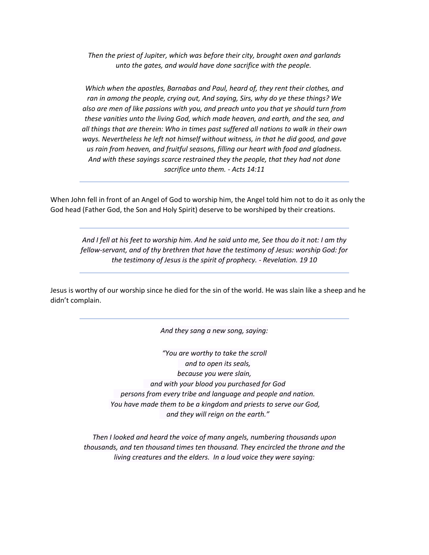*Then the priest of Jupiter, which was before their city, brought oxen and garlands unto the gates, and would have done sacrifice with the people.*

*Which when the apostles, Barnabas and Paul, heard of, they rent their clothes, and ran in among the people, crying out, And saying, Sirs, why do ye these things? We also are men of like passions with you, and preach unto you that ye should turn from these vanities unto the living God, which made heaven, and earth, and the sea, and all things that are therein: Who in times past suffered all nations to walk in their own ways. Nevertheless he left not himself without witness, in that he did good, and gave us rain from heaven, and fruitful seasons, filling our heart with food and gladness. And with these sayings scarce restrained they the people, that they had not done sacrifice unto them. - Acts 14:11*

When John fell in front of an Angel of God to worship him, the Angel told him not to do it as only the God head (Father God, the Son and Holy Spirit) deserve to be worshiped by their creations.

*And I fell at his feet to worship him. And he said unto me, See thou do it not: I am thy fellow-servant, and of thy brethren that have the testimony of Jesus: worship God: for the testimony of Jesus is the spirit of prophecy. - Revelation. 19 10*

Jesus is worthy of our worship since he died for the sin of the world. He was slain like a sheep and he didn't complain.

*And they sang a new song, saying:*

*"You are worthy to take the scroll and to open its seals, because you were slain, and with your blood you purchased for God persons from every tribe and language and people and nation. You have made them to be a kingdom and priests to serve our God, and they will reign on the earth."*

*Then I looked and heard the voice of many angels, numbering thousands upon thousands, and ten thousand times ten thousand. They encircled the throne and the living creatures and the elders. In a loud voice they were saying:*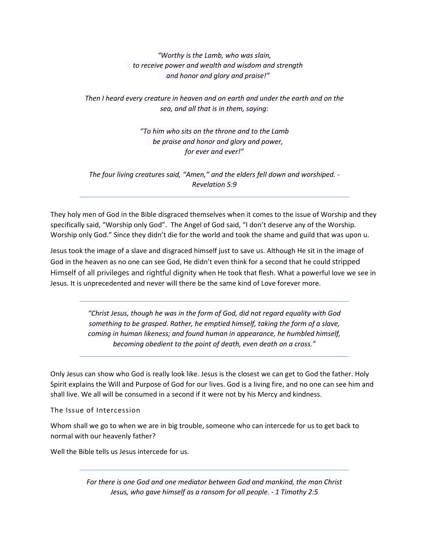*"Worthy is the Lamb, who was slain, to receive power and wealth and wisdom and strength and honor and glory and praise!"*

*Then I heard every creature in heaven and on earth and under the earth and on the sea, and all that is in them, saying:*

> *"To him who sits on the throne and to the Lamb be praise and honor and glory and power, for ever and ever!"*

*The four living creatures said, "Amen," and the elders fell down and worshiped. - Revelation 5:9*

They holy men of God in the Bible disgraced themselves when it comes to the issue of Worship and they specifically said, "Worship only God". The Angel of God said, "I don't deserve any of the Worship. Worship only God." Since they didn't die for the world and took the shame and guild that was upon u.

Jesus took the image of a slave and disgraced himself just to save us. Although He sit in the image of God in the heaven as no one can see God, He didn't even think for a second that he could stripped Himself of all privileges and rightful dignity when He took that flesh. What a powerful love we see in Jesus. It is unprecedented and never will there be the same kind of Love forever more.

> *"Christ Jesus, though he was in the form of God, did not regard equality with God something to be grasped. Rather, he emptied himself, taking the form of a slave, coming in human likeness; and found human in appearance, he humbled himself, becoming obedient to the point of death, even death on a cross."*

Only Jesus can show who God is really look like. Jesus is the closest we can get to God the father. Holy Spirit explains the Will and Purpose of God for our lives. God is a living fire, and no one can see him and shall live. We all will be consumed in a second if it were not by his Mercy and kindness.

The Issue of Intercession

Whom shall we go to when we are in big trouble, someone who can intercede for us to get back to normal with our heavenly father?

Well the Bible tells us Jesus intercede for us.

*For there is one God and one mediator between God and mankind, the man Christ Jesus, who gave himself as a ransom for all people. - 1 Timothy 2:5*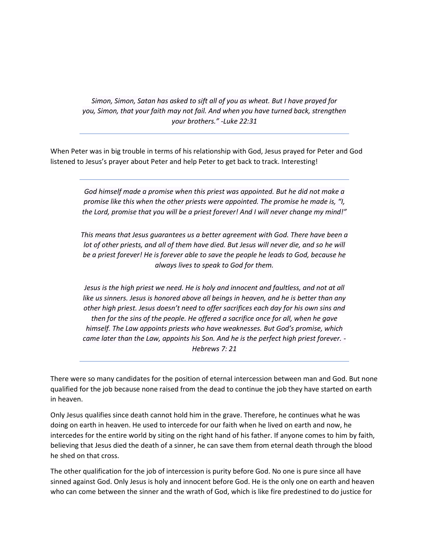*Simon, Simon, Satan has asked to sift all of you as wheat. But I have prayed for you, Simon, that your faith may not fail. And when you have turned back, strengthen your brothers." -Luke 22:31*

When Peter was in big trouble in terms of his relationship with God, Jesus prayed for Peter and God listened to Jesus's prayer about Peter and help Peter to get back to track. Interesting!

> *God himself made a promise when this priest was appointed. But he did not make a promise like this when the other priests were appointed. The promise he made is, "I, the Lord, promise that you will be a priest forever! And I will never change my mind!"*

> *This means that Jesus guarantees us a better agreement with God. There have been a lot of other priests, and all of them have died. But Jesus will never die, and so he will be a priest forever! He is forever able to save the people he leads to God, because he always lives to speak to God for them.*

> *Jesus is the high priest we need. He is holy and innocent and faultless, and not at all like us sinners. Jesus is honored above all beings in heaven, and he is better than any other high priest. Jesus doesn't need to offer sacrifices each day for his own sins and then for the sins of the people. He offered a sacrifice once for all, when he gave himself. The Law appoints priests who have weaknesses. But God's promise, which came later than the Law, appoints his Son. And he is the perfect high priest forever. - Hebrews 7: 21*

There were so many candidates for the position of eternal intercession between man and God. But none qualified for the job because none raised from the dead to continue the job they have started on earth in heaven.

Only Jesus qualifies since death cannot hold him in the grave. Therefore, he continues what he was doing on earth in heaven. He used to intercede for our faith when he lived on earth and now, he intercedes for the entire world by siting on the right hand of his father. If anyone comes to him by faith, believing that Jesus died the death of a sinner, he can save them from eternal death through the blood he shed on that cross.

The other qualification for the job of intercession is purity before God. No one is pure since all have sinned against God. Only Jesus is holy and innocent before God. He is the only one on earth and heaven who can come between the sinner and the wrath of God, which is like fire predestined to do justice for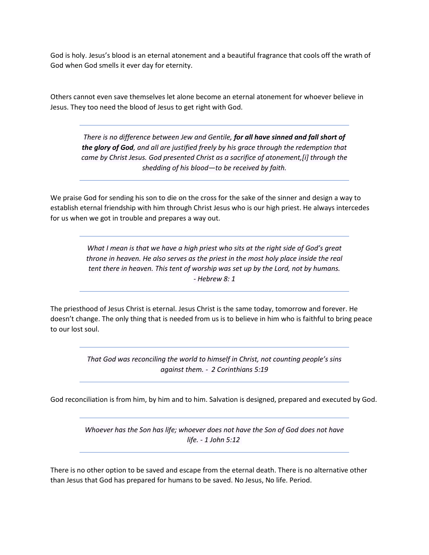God is holy. Jesus's blood is an eternal atonement and a beautiful fragrance that cools off the wrath of God when God smells it ever day for eternity.

Others cannot even save themselves let alone become an eternal atonement for whoever believe in Jesus. They too need the blood of Jesus to get right with God.

*There is no difference between Jew and Gentile, for all have sinned and fall short of the glory of God, and all are justified freely by his grace through the redemption that came by Christ Jesus. God presented Christ as a sacrifice of atonement,[\[i\]](https://www.biblegateway.com/passage/?search=Romans+3&version=NIV#fen-NIV-28017i) through the shedding of his blood—to be received by faith.*

We praise God for sending his son to die on the cross for the sake of the sinner and design a way to establish eternal friendship with him through Christ Jesus who is our high priest. He always intercedes for us when we got in trouble and prepares a way out.

> *What I mean is that we have a high priest who sits at the right side of God's great throne in heaven. He also serves as the priest in the most holy place inside the real tent there in heaven. This tent of worship was set up by the Lord, not by humans. - Hebrew 8: 1*

The priesthood of Jesus Christ is eternal. Jesus Christ is the same today, tomorrow and forever. He doesn't change. The only thing that is needed from us is to believe in him who is faithful to bring peace to our lost soul.

> *That God was reconciling the world to himself in Christ, not counting people's sins against them. - 2 Corinthians 5:19*

God reconciliation is from him, by him and to him. Salvation is designed, prepared and executed by God.

*Whoever has the Son has life; whoever does not have the Son of God does not have life. - 1 John 5:12*

There is no other option to be saved and escape from the eternal death. There is no alternative other than Jesus that God has prepared for humans to be saved. No Jesus, No life. Period.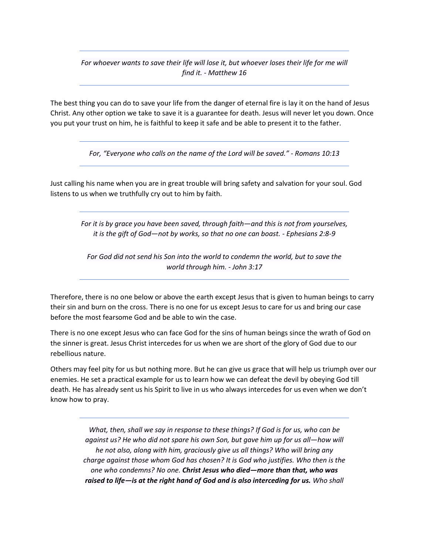*For whoever wants to save their life will lose it, but whoever loses their life for me will find it. - Matthew 16*

The best thing you can do to save your life from the danger of eternal fire is lay it on the hand of Jesus Christ. Any other option we take to save it is a guarantee for death. Jesus will never let you down. Once you put your trust on him, he is faithful to keep it safe and be able to present it to the father.

*For, "Everyone who calls on the name of the Lord will be saved." - Romans 10:13*

Just calling his name when you are in great trouble will bring safety and salvation for your soul. God listens to us when we truthfully cry out to him by faith.

*For it is by grace you have been saved, through faith—and this is not from yourselves, it is the gift of God—not by works, so that no one can boast. - Ephesians 2:8-9*

*For God did not send his Son into the world to condemn the world, but to save the world through him. - John 3:17*

Therefore, there is no one below or above the earth except Jesus that is given to human beings to carry their sin and burn on the cross. There is no one for us except Jesus to care for us and bring our case before the most fearsome God and be able to win the case.

There is no one except Jesus who can face God for the sins of human beings since the wrath of God on the sinner is great. Jesus Christ intercedes for us when we are short of the glory of God due to our rebellious nature.

Others may feel pity for us but nothing more. But he can give us grace that will help us triumph over our enemies. He set a practical example for us to learn how we can defeat the devil by obeying God till death. He has already sent us his Spirit to live in us who always intercedes for us even when we don't know how to pray.

> *What, then, shall we say in response to these things? If God is for us, who can be against us? He who did not spare his own Son, but gave him up for us all—how will he not also, along with him, graciously give us all things? Who will bring any charge against those whom God has chosen? It is God who justifies. Who then is the one who condemns? No one. Christ Jesus who died—more than that, who was raised to life—is at the right hand of God and is also interceding for us. Who shall*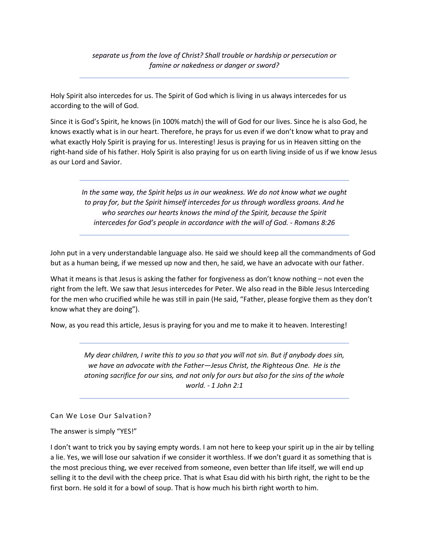*separate us from the love of Christ? Shall trouble or hardship or persecution or famine or nakedness or danger or sword?*

Holy Spirit also intercedes for us. The Spirit of God which is living in us always intercedes for us according to the will of God.

Since it is God's Spirit, he knows (in 100% match) the will of God for our lives. Since he is also God, he knows exactly what is in our heart. Therefore, he prays for us even if we don't know what to pray and what exactly Holy Spirit is praying for us. Interesting! Jesus is praying for us in Heaven sitting on the right-hand side of his father. Holy Spirit is also praying for us on earth living inside of us if we know Jesus as our Lord and Savior.

*In the same way, the Spirit helps us in our weakness. We do not know what we ought to pray for, but the Spirit himself intercedes for us through wordless groans. And he who searches our hearts knows the mind of the Spirit, because the Spirit intercedes for God's people in accordance with the will of God. - Romans 8:26*

John put in a very understandable language also. He said we should keep all the commandments of God but as a human being, if we messed up now and then, he said, we have an advocate with our father.

What it means is that Jesus is asking the father for forgiveness as don't know nothing – not even the right from the left. We saw that Jesus intercedes for Peter. We also read in the Bible Jesus Interceding for the men who crucified while he was still in pain (He said, "Father, please forgive them as they don't know what they are doing").

Now, as you read this article, Jesus is praying for you and me to make it to heaven. Interesting!

*My dear children, I write this to you so that you will not sin. But if anybody does sin, we have an advocate with the Father—Jesus Christ, the Righteous One. He is the atoning sacrifice for our sins, and not only for ours but also for the sins of the whole world. - 1 John 2:1*

Can We Lose Our Salvation?

The answer is simply "YES!"

I don't want to trick you by saying empty words. I am not here to keep your spirit up in the air by telling a lie. Yes, we will lose our salvation if we consider it worthless. If we don't guard it as something that is the most precious thing, we ever received from someone, even better than life itself, we will end up selling it to the devil with the cheep price. That is what Esau did with his birth right, the right to be the first born. He sold it for a bowl of soup. That is how much his birth right worth to him.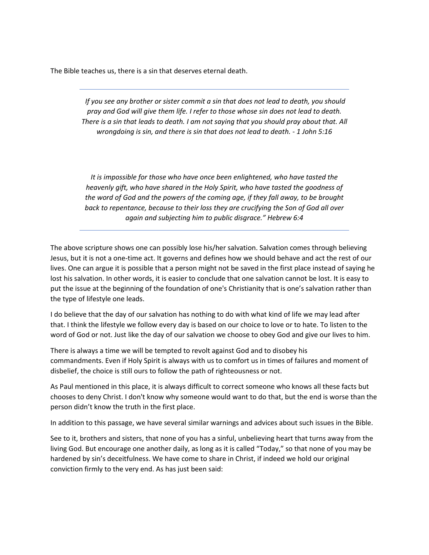The Bible teaches us, there is a sin that deserves eternal death.

*If you see any brother or sister commit a sin that does not lead to death, you should pray and God will give them life. I refer to those whose sin does not lead to death. There is a sin that leads to death. I am not saying that you should pray about that. All wrongdoing is sin, and there is sin that does not lead to death. - 1 John 5:16*

*It is impossible for those who have once been enlightened, who have tasted the heavenly gift, who have shared in the Holy Spirit, who have tasted the goodness of the word of God and the powers of the coming age, if they fall away, to be brought back to repentance, because to their loss they are crucifying the Son of God all over again and subjecting him to public disgrace." Hebrew 6:4*

The above scripture shows one can possibly lose his/her salvation. Salvation comes through believing Jesus, but it is not a one-time act. It governs and defines how we should behave and act the rest of our lives. One can argue it is possible that a person might not be saved in the first place instead of saying he lost his salvation. In other words, it is easier to conclude that one salvation cannot be lost. It is easy to put the issue at the beginning of the foundation of one's Christianity that is one's salvation rather than the type of lifestyle one leads.

I do believe that the day of our salvation has nothing to do with what kind of life we may lead after that. I think the lifestyle we follow every day is based on our choice to love or to hate. To listen to the word of God or not. Just like the day of our salvation we choose to obey God and give our lives to him.

There is always a time we will be tempted to revolt against God and to disobey his commandments. Even if Holy Spirit is always with us to comfort us in times of failures and moment of disbelief, the choice is still ours to follow the path of righteousness or not.

As Paul mentioned in this place, it is always difficult to correct someone who knows all these facts but chooses to deny Christ. I don't know why someone would want to do that, but the end is worse than the person didn't know the truth in the first place.

In addition to this passage, we have several similar warnings and advices about such issues in the Bible.

See to it, brothers and sisters, that none of you has a sinful, unbelieving heart that turns away from the living God. But encourage one another daily, as long as it is called "Today," so that none of you may be hardened by sin's deceitfulness. We have come to share in Christ, if indeed we hold our original conviction firmly to the very end. As has just been said: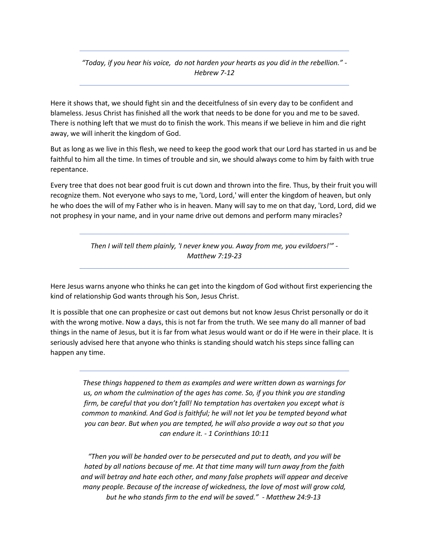*"Today, if you hear his voice, do not harden your hearts as you did in the rebellion." - Hebrew 7-12*

Here it shows that, we should fight sin and the deceitfulness of sin every day to be confident and blameless. Jesus Christ has finished all the work that needs to be done for you and me to be saved. There is nothing left that we must do to finish the work. This means if we believe in him and die right away, we will inherit the kingdom of God.

But as long as we live in this flesh, we need to keep the good work that our Lord has started in us and be faithful to him all the time. In times of trouble and sin, we should always come to him by faith with true repentance.

Every tree that does not bear good fruit is cut down and thrown into the fire. Thus, by their fruit you will recognize them. Not everyone who says to me, 'Lord, Lord,' will enter the kingdom of heaven, but only he who does the will of my Father who is in heaven. Many will say to me on that day, 'Lord, Lord, did we not prophesy in your name, and in your name drive out demons and perform many miracles?

> *Then I will tell them plainly, 'I never knew you. Away from me, you evildoers!'" - Matthew 7:19-23*

Here Jesus warns anyone who thinks he can get into the kingdom of God without first experiencing the kind of relationship God wants through his Son, Jesus Christ.

It is possible that one can prophesize or cast out demons but not know Jesus Christ personally or do it with the wrong motive. Now a days, this is not far from the truth. We see many do all manner of bad things in the name of Jesus, but it is far from what Jesus would want or do if He were in their place. It is seriously advised here that anyone who thinks is standing should watch his steps since falling can happen any time.

*These things happened to them as examples and were written down as warnings for us, on whom the culmination of the ages has come. So, if you think you are standing firm, be careful that you don't fall! No temptation has overtaken you except what is common to mankind. And God is faithful; he will not let you be tempted beyond what you can bear. But when you are tempted, he will also provide a way out so that you can endure it. - 1 Corinthians 10:11*

*"Then you will be handed over to be persecuted and put to death, and you will be hated by all nations because of me. At that time many will turn away from the faith and will betray and hate each other, and many false prophets will appear and deceive many people. Because of the increase of wickedness, the love of most will grow cold, but he who stands firm to the end will be saved." - Matthew 24:9-13*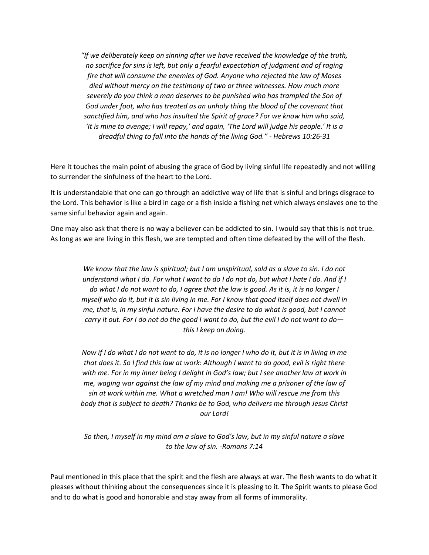*"If we deliberately keep on sinning after we have received the knowledge of the truth, no sacrifice for sins is left, but only a fearful expectation of judgment and of raging fire that will consume the enemies of God. Anyone who rejected the law of Moses died without mercy on the testimony of two or three witnesses. How much more severely do you think a man deserves to be punished who has trampled the Son of*  God under foot, who has treated as an unholy thing the blood of the covenant that *sanctified him, and who has insulted the Spirit of grace? For we know him who said, 'It is mine to avenge; I will repay,' and again, 'The Lord will judge his people.' It is a dreadful thing to fall into the hands of the living God." - Hebrews 10:26-31*

Here it touches the main point of abusing the grace of God by living sinful life repeatedly and not willing to surrender the sinfulness of the heart to the Lord.

It is understandable that one can go through an addictive way of life that is sinful and brings disgrace to the Lord. This behavior is like a bird in cage or a fish inside a fishing net which always enslaves one to the same sinful behavior again and again.

One may also ask that there is no way a believer can be addicted to sin. I would say that this is not true. As long as we are living in this flesh, we are tempted and often time defeated by the will of the flesh.

*We know that the law is spiritual; but I am unspiritual, sold as a slave to sin. I do not understand what I do. For what I want to do I do not do, but what I hate I do. And if I do what I do not want to do, I agree that the law is good. As it is, it is no longer I myself who do it, but it is sin living in me. For I know that good itself does not dwell in me, that is, in my sinful nature. For I have the desire to do what is good, but I cannot carry it out. For I do not do the good I want to do, but the evil I do not want to do this I keep on doing.*

*Now if I do what I do not want to do, it is no longer I who do it, but it is in living in me that does it. So I find this law at work: Although I want to do good, evil is right there with me. For in my inner being I delight in God's law; but I see another law at work in me, waging war against the law of my mind and making me a prisoner of the law of sin at work within me. What a wretched man I am! Who will rescue me from this body that is subject to death? Thanks be to God, who delivers me through Jesus Christ our Lord!*

*So then, I myself in my mind am a slave to God's law, but in my sinful nature a slave to the law of sin. -Romans 7:14*

Paul mentioned in this place that the spirit and the flesh are always at war. The flesh wants to do what it pleases without thinking about the consequences since it is pleasing to it. The Spirit wants to please God and to do what is good and honorable and stay away from all forms of immorality.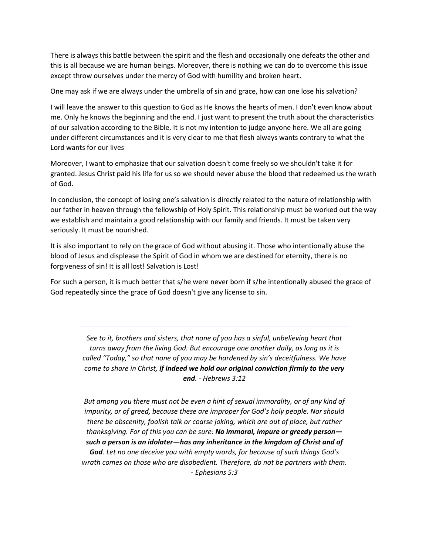There is always this battle between the spirit and the flesh and occasionally one defeats the other and this is all because we are human beings. Moreover, there is nothing we can do to overcome this issue except throw ourselves under the mercy of God with humility and broken heart.

One may ask if we are always under the umbrella of sin and grace, how can one lose his salvation?

I will leave the answer to this question to God as He knows the hearts of men. I don't even know about me. Only he knows the beginning and the end. I just want to present the truth about the characteristics of our salvation according to the Bible. It is not my intention to judge anyone here. We all are going under different circumstances and it is very clear to me that flesh always wants contrary to what the Lord wants for our lives

Moreover, I want to emphasize that our salvation doesn't come freely so we shouldn't take it for granted. Jesus Christ paid his life for us so we should never abuse the blood that redeemed us the wrath of God.

In conclusion, the concept of losing one's salvation is directly related to the nature of relationship with our father in heaven through the fellowship of Holy Spirit. This relationship must be worked out the way we establish and maintain a good relationship with our family and friends. It must be taken very seriously. It must be nourished.

It is also important to rely on the grace of God without abusing it. Those who intentionally abuse the blood of Jesus and displease the Spirit of God in whom we are destined for eternity, there is no forgiveness of sin! It is all lost! Salvation is Lost!

For such a person, it is much better that s/he were never born if s/he intentionally abused the grace of God repeatedly since the grace of God doesn't give any license to sin.

> *See to it, brothers and sisters, that none of you has a sinful, unbelieving heart that turns away from the living God. But encourage one another daily, as long as it is called "Today," so that none of you may be hardened by sin's deceitfulness. We have come to share in Christ, if indeed we hold our original conviction firmly to the very end. - Hebrews 3:12*

> *But among you there must not be even a hint of sexual immorality, or of any kind of impurity, or of greed, because these are improper for God's holy people. Nor should there be obscenity, foolish talk or coarse joking, which are out of place, but rather thanksgiving. For of this you can be sure: No immoral, impure or greedy person such a person is an idolater—has any inheritance in the kingdom of Christ and of God. Let no one deceive you with empty words, for because of such things God's wrath comes on those who are disobedient. Therefore, do not be partners with them. - Ephesians 5:3*